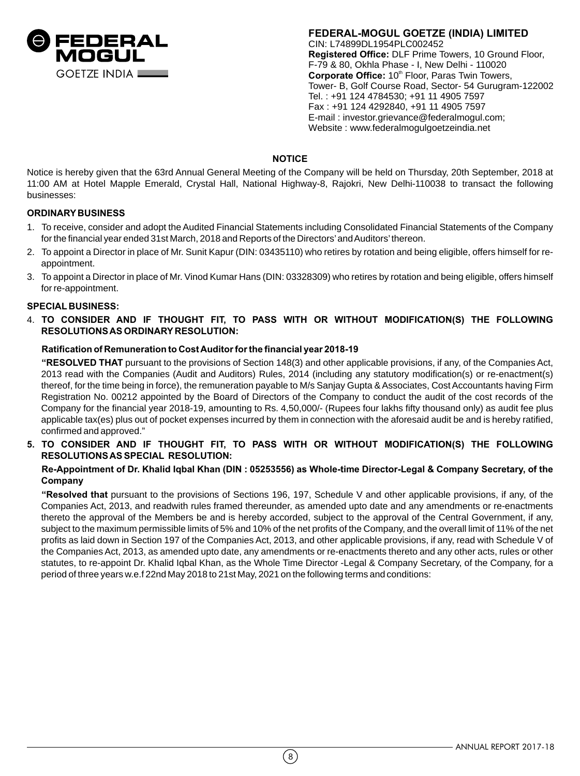

**FEDERAL-MOGUL GOETZE (INDIA) LIMITED** CIN: L74899DL1954PLC002452 **Registered Office:** DLF Prime Towers, 10 Ground Floor, F-79 & 80, Okhla Phase - I, New Delhi - 110020 Corporate Office: 10<sup>th</sup> Floor, Paras Twin Towers, Tower- B, Golf Course Road, Sector- 54 Gurugram-122002 Tel. : +91 124 4784530; +91 11 4905 7597 Fax : +91 124 4292840, +91 11 4905 7597 E-mail : investor.grievance@federalmogul.com; Website : www.federalmogulgoetzeindia.net

# **NOTICE**

Notice is hereby given that the 63rd Annual General Meeting of the Company will be held on Thursday, 20th September, 2018 at 11:00 AM at Hotel Mapple Emerald, Crystal Hall, National Highway-8, Rajokri, New Delhi-110038 to transact the following businesses:

# **ORDINARY BUSINESS**

- 1. To receive, consider and adopt the Audited Financial Statements including Consolidated Financial Statements of the Company for the financial year ended 31st March, 2018 and Reports of the Directors' and Auditors' thereon.
- 2. To appoint a Director in place of Mr. Sunit Kapur (DIN: 03435110) who retires by rotation and being eligible, offers himself for reappointment.
- 3. To appoint a Director in place of Mr. Vinod Kumar Hans (DIN: 03328309) who retires by rotation and being eligible, offers himself for re-appointment.

## **SPECIAL BUSINESS:**

4. **TO CONSIDER AND IF THOUGHT FIT, TO PASS WITH OR WITHOUT MODIFICATION(S) THE FOLLOWING RESOLUTIONS AS ORDINARY RESOLUTION:**

## **Ratification of Remuneration to Cost Auditor for the financial year 2018-19**

**"RESOLVED THAT** pursuant to the provisions of Section 148(3) and other applicable provisions, if any, of the Companies Act, 2013 read with the Companies (Audit and Auditors) Rules, 2014 (including any statutory modification(s) or re-enactment(s) thereof, for the time being in force), the remuneration payable to M/s Sanjay Gupta & Associates, Cost Accountants having Firm Registration No. 00212 appointed by the Board of Directors of the Company to conduct the audit of the cost records of the Company for the financial year 2018-19, amounting to Rs. 4,50,000/- (Rupees four lakhs fifty thousand only) as audit fee plus applicable tax(es) plus out of pocket expenses incurred by them in connection with the aforesaid audit be and is hereby ratified, confirmed and approved."

**5. TO CONSIDER AND IF THOUGHT FIT, TO PASS WITH OR WITHOUT MODIFICATION(S) THE FOLLOWING RESOLUTIONS AS SPECIAL RESOLUTION:**

# **Re-Appointment of Dr. Khalid Iqbal Khan (DIN : 05253556) as Whole-time Director-Legal & Company Secretary, of the Company**

**"Resolved that** pursuant to the provisions of Sections 196, 197, Schedule V and other applicable provisions, if any, of the Companies Act, 2013, and readwith rules framed thereunder, as amended upto date and any amendments or re-enactments thereto the approval of the Members be and is hereby accorded, subject to the approval of the Central Government, if any, subject to the maximum permissible limits of 5% and 10% of the net profits of the Company, and the overall limit of 11% of the net profits as laid down in Section 197 of the Companies Act, 2013, and other applicable provisions, if any, read with Schedule V of the Companies Act, 2013, as amended upto date, any amendments or re-enactments thereto and any other acts, rules or other statutes, to re-appoint Dr. Khalid Iqbal Khan, as the Whole Time Director -Legal & Company Secretary, of the Company, for a period of three years w.e.f 22nd May 2018 to 21st May, 2021 on the following terms and conditions: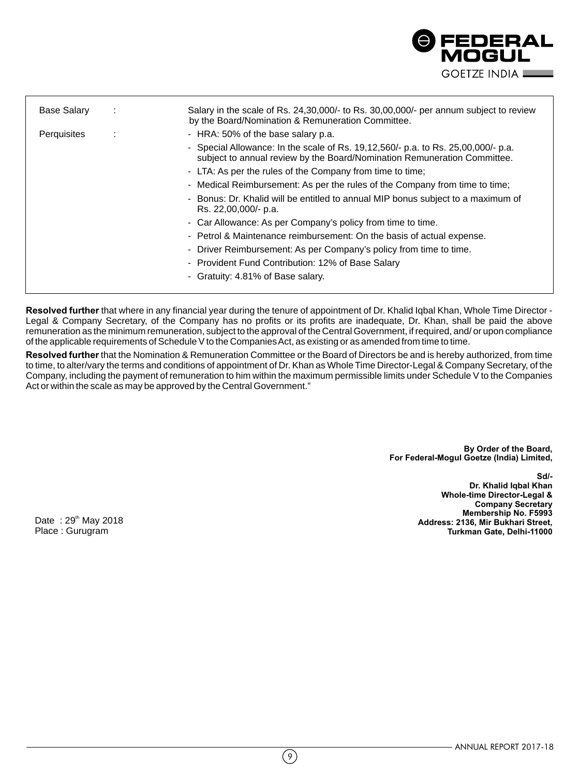

| - HRA: 50% of the base salary p.a.<br>- Special Allowance: In the scale of Rs. 19,12,560/- p.a. to Rs. 25,00,000/- p.a.<br>subject to annual review by the Board/Nomination Remuneration Committee. |
|-----------------------------------------------------------------------------------------------------------------------------------------------------------------------------------------------------|
|                                                                                                                                                                                                     |
|                                                                                                                                                                                                     |
| - LTA: As per the rules of the Company from time to time;                                                                                                                                           |
| - Medical Reimbursement: As per the rules of the Company from time to time;                                                                                                                         |
| - Bonus: Dr. Khalid will be entitled to annual MIP bonus subject to a maximum of<br>Rs. 22,00,000/- p.a.                                                                                            |
| - Car Allowance: As per Company's policy from time to time.                                                                                                                                         |
| - Petrol & Maintenance reimbursement: On the basis of actual expense.                                                                                                                               |
| - Driver Reimbursement: As per Company's policy from time to time.                                                                                                                                  |
| - Provident Fund Contribution: 12% of Base Salary                                                                                                                                                   |
| - Gratuity: 4.81% of Base salary.                                                                                                                                                                   |
|                                                                                                                                                                                                     |

**Resolved further** that where in any financial year during the tenure of appointment of Dr. Khalid Iqbal Khan, Whole Time Director - Legal & Company Secretary, of the Company has no profits or its profits are inadequate, Dr. Khan, shall be paid the above remuneration as the minimum remuneration, subject to the approval of the Central Government, if required, and/ or upon compliance of the applicable requirements of Schedule V to the Companies Act, as existing or as amended from time to time.

**Resolved further** that the Nomination & Remuneration Committee or the Board of Directors be and is hereby authorized, from time to time, to alter/vary the terms and conditions of appointment of Dr. Khan as Whole Time Director-Legal & Company Secretary, of the Company, including the payment of remuneration to him within the maximum permissible limits under Schedule V to the Companies Act or within the scale as may be approved by the Central Government."

> **By Order of the Board, For Federal-Mogul Goetze (India) Limited,**

> > **Dr. Khalid Iqbal Khan Whole-time Director-Legal & Company Secretary Membership No. F5993 Address: 2136, Mir Bukhari Street, Turkman Gate, Delhi-11000**

**Sd/-**

Date :  $29<sup>th</sup>$  May 2018 Place : Gurugram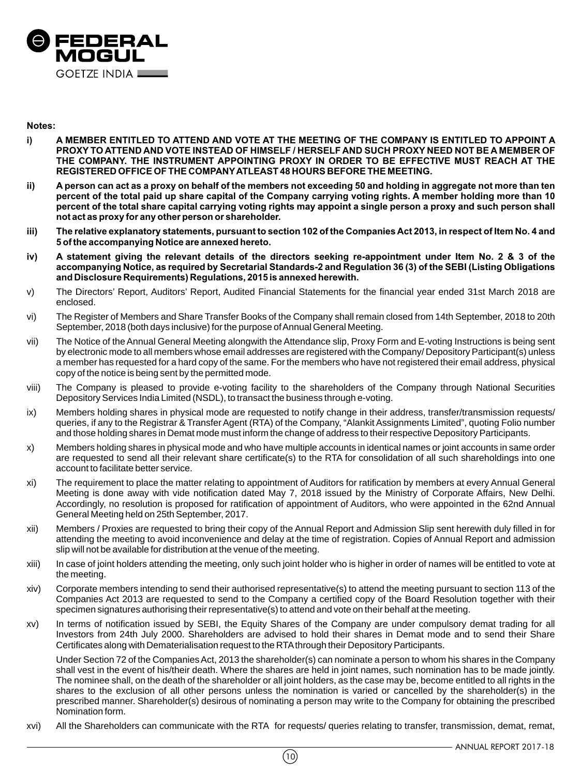

#### **Notes:**

- **i) A MEMBER ENTITLED TO ATTEND AND VOTE AT THE MEETING OF THE COMPANY IS ENTITLED TO APPOINT A PROXY TO ATTEND AND VOTE INSTEAD OF HIMSELF / HERSELF AND SUCH PROXY NEED NOT BE A MEMBER OF THE COMPANY. THE INSTRUMENT APPOINTING PROXY IN ORDER TO BE EFFECTIVE MUST REACH AT THE REGISTERED OFFICE OF THE COMPANY ATLEAST 48 HOURS BEFORE THE MEETING.**
- **ii) A person can act as a proxy on behalf of the members not exceeding 50 and holding in aggregate not more than ten percent of the total paid up share capital of the Company carrying voting rights. A member holding more than 10 percent of the total share capital carrying voting rights may appoint a single person a proxy and such person shall not act as proxy for any other person or shareholder.**
- **iii) The relative explanatory statements, pursuant to section 102 of the Companies Act 2013, in respect of Item No. 4 and 5 of the accompanying Notice are annexed hereto.**
- **iv) A statement giving the relevant details of the directors seeking re-appointment under Item No. 2 & 3 of the accompanying Notice, as required by Secretarial Standards-2 and Regulation 36 (3) of the SEBI (Listing Obligations and Disclosure Requirements) Regulations, 2015 is annexed herewith.**
- v) The Directors' Report, Auditors' Report, Audited Financial Statements for the financial year ended 31st March 2018 are enclosed.
- vi) The Register of Members and Share Transfer Books of the Company shall remain closed from 14th September, 2018 to 20th September, 2018 (both days inclusive) for the purpose of Annual General Meeting.
- vii) The Notice of the Annual General Meeting alongwith the Attendance slip, Proxy Form and E-voting Instructions is being sent by electronic mode to all members whose email addresses are registered with the Company/ Depository Participant(s) unless a member has requested for a hard copy of the same. For the members who have not registered their email address, physical copy of the notice is being sent by the permitted mode.
- viii) The Company is pleased to provide e-voting facility to the shareholders of the Company through National Securities Depository Services India Limited (NSDL), to transact the business through e-voting.
- ix) Members holding shares in physical mode are requested to notify change in their address, transfer/transmission requests/ queries, if any to the Registrar & Transfer Agent (RTA) of the Company, "Alankit Assignments Limited", quoting Folio number and those holding shares in Demat mode must inform the change of address to their respective Depository Participants.
- x) Members holding shares in physical mode and who have multiple accounts in identical names or joint accounts in same order are requested to send all their relevant share certificate(s) to the RTA for consolidation of all such shareholdings into one account to facilitate better service.
- xi) The requirement to place the matter relating to appointment of Auditors for ratification by members at every Annual General Meeting is done away with vide notification dated May 7, 2018 issued by the Ministry of Corporate Affairs, New Delhi. Accordingly, no resolution is proposed for ratification of appointment of Auditors, who were appointed in the 62nd Annual General Meeting held on 25th September, 2017.
- xii) Members / Proxies are requested to bring their copy of the Annual Report and Admission Slip sent herewith duly filled in for attending the meeting to avoid inconvenience and delay at the time of registration. Copies of Annual Report and admission slip will not be available for distribution at the venue of the meeting.
- xiii) In case of joint holders attending the meeting, only such joint holder who is higher in order of names will be entitled to vote at the meeting.
- xiv) Corporate members intending to send their authorised representative(s) to attend the meeting pursuant to section 113 of the Companies Act 2013 are requested to send to the Company a certified copy of the Board Resolution together with their specimen signatures authorising their representative(s) to attend and vote on their behalf at the meeting.
- xv) In terms of notification issued by SEBI, the Equity Shares of the Company are under compulsory demat trading for all Investors from 24th July 2000. Shareholders are advised to hold their shares in Demat mode and to send their Share Certificates along with Dematerialisation request to the RTA through their Depository Participants.

Under Section 72 of the Companies Act, 2013 the shareholder(s) can nominate a person to whom his shares in the Company shall vest in the event of his/their death. Where the shares are held in joint names, such nomination has to be made jointly. The nominee shall, on the death of the shareholder or all joint holders, as the case may be, become entitled to all rights in the shares to the exclusion of all other persons unless the nomination is varied or cancelled by the shareholder(s) in the prescribed manner. Shareholder(s) desirous of nominating a person may write to the Company for obtaining the prescribed Nomination form.

xvi) All the Shareholders can communicate with the RTA for requests/ queries relating to transfer, transmission, demat, remat,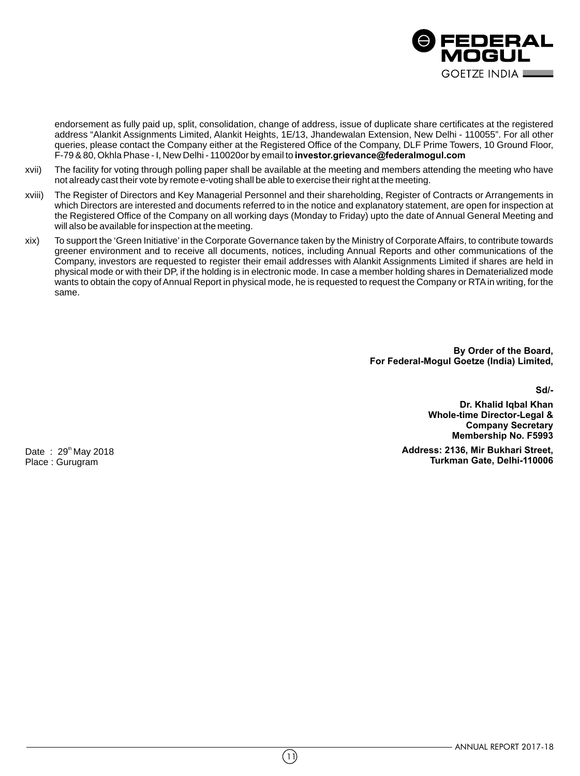

endorsement as fully paid up, split, consolidation, change of address, issue of duplicate share certificates at the registered address "Alankit Assignments Limited, Alankit Heights, 1E/13, Jhandewalan Extension, New Delhi - 110055". For all other queries, please contact the Company either at the Registered Office of the Company, DLF Prime Towers, 10 Ground Floor, F-79 & 80, Okhla Phase - I, New Delhi - 110020or by email to **investor.grievance@federalmogul.com**

- xvii) The facility for voting through polling paper shall be available at the meeting and members attending the meeting who have not already cast their vote by remote e-voting shall be able to exercise their right at the meeting.
- xviii) The Register of Directors and Key Managerial Personnel and their shareholding, Register of Contracts or Arrangements in which Directors are interested and documents referred to in the notice and explanatory statement, are open for inspection at the Registered Office of the Company on all working days (Monday to Friday) upto the date of Annual General Meeting and will also be available for inspection at the meeting.
- xix) To support the 'Green Initiative' in the Corporate Governance taken by the Ministry of Corporate Affairs, to contribute towards greener environment and to receive all documents, notices, including Annual Reports and other communications of the Company, investors are requested to register their email addresses with Alankit Assignments Limited if shares are held in physical mode or with their DP, if the holding is in electronic mode. In case a member holding shares in Dematerialized mode wants to obtain the copy of Annual Report in physical mode, he is requested to request the Company or RTA in writing, for the same.

**By Order of the Board, For Federal-Mogul Goetze (India) Limited,** 

**Sd/-**

**Dr. Khalid Iqbal Khan Whole-time Director-Legal & Company Secretary Membership No. F5993**

**Address: 2136, Mir Bukhari Street, Turkman Gate, Delhi-110006**

Date :  $29<sup>th</sup>$  May 2018 Place : Gurugram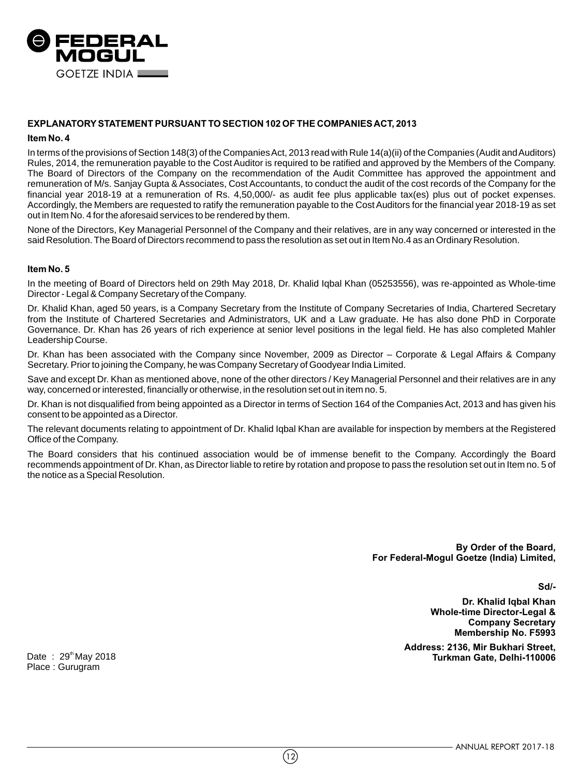

# **EXPLANATORY STATEMENT PURSUANT TO SECTION 102 OF THE COMPANIES ACT, 2013**

#### **Item No. 4**

In terms of the provisions of Section 148(3) of the Companies Act, 2013 read with Rule 14(a)(ii) of the Companies (Audit and Auditors) Rules, 2014, the remuneration payable to the Cost Auditor is required to be ratified and approved by the Members of the Company. The Board of Directors of the Company on the recommendation of the Audit Committee has approved the appointment and remuneration of M/s. Sanjay Gupta & Associates, Cost Accountants, to conduct the audit of the cost records of the Company for the financial year 2018-19 at a remuneration of Rs. 4,50,000/- as audit fee plus applicable tax(es) plus out of pocket expenses. Accordingly, the Members are requested to ratify the remuneration payable to the Cost Auditors for the financial year 2018-19 as set out in Item No. 4 for the aforesaid services to be rendered by them.

None of the Directors, Key Managerial Personnel of the Company and their relatives, are in any way concerned or interested in the said Resolution. The Board of Directors recommend to pass the resolution as set out in Item No.4 as an Ordinary Resolution.

#### **Item No. 5**

In the meeting of Board of Directors held on 29th May 2018, Dr. Khalid Iqbal Khan (05253556), was re-appointed as Whole-time Director - Legal & Company Secretary of the Company.

Dr. Khalid Khan, aged 50 years, is a Company Secretary from the Institute of Company Secretaries of India, Chartered Secretary from the Institute of Chartered Secretaries and Administrators, UK and a Law graduate. He has also done PhD in Corporate Governance. Dr. Khan has 26 years of rich experience at senior level positions in the legal field. He has also completed Mahler Leadership Course.

Dr. Khan has been associated with the Company since November, 2009 as Director – Corporate & Legal Affairs & Company Secretary. Prior to joining the Company, he was Company Secretary of Goodyear India Limited.

Save and except Dr. Khan as mentioned above, none of the other directors / Key Managerial Personnel and their relatives are in any way, concerned or interested, financially or otherwise, in the resolution set out in item no. 5.

Dr. Khan is not disqualified from being appointed as a Director in terms of Section 164 of the Companies Act, 2013 and has given his consent to be appointed as a Director.

The relevant documents relating to appointment of Dr. Khalid Iqbal Khan are available for inspection by members at the Registered Office of the Company.

The Board considers that his continued association would be of immense benefit to the Company. Accordingly the Board recommends appointment of Dr. Khan, as Director liable to retire by rotation and propose to pass the resolution set out in Item no. 5 of the notice as a Special Resolution.

> **By Order of the Board, For Federal-Mogul Goetze (India) Limited,**

> > **Sd/-**

**Dr. Khalid Iqbal Khan Whole-time Director-Legal & Company Secretary Membership No. F5993**

**Address: 2136, Mir Bukhari Street, Turkman Gate, Delhi-110006** th Date : 29 May 2018

Place : Gurugram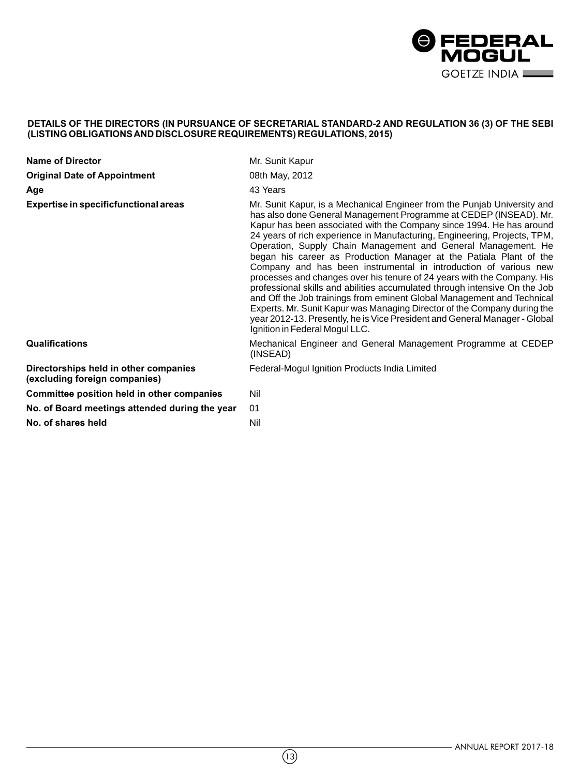

## **DETAILS OF THE DIRECTORS (IN PURSUANCE OF SECRETARIAL STANDARD-2 AND REGULATION 36 (3) OF THE SEBI (LISTING OBLIGATIONS AND DISCLOSURE REQUIREMENTS) REGULATIONS, 2015)**

| <b>Name of Director</b>                                                | Mr. Sunit Kapur                                                                                                                                                                                                                                                                                                                                                                                                                                                                                                                                                                                                                                                                                                                                                                                                                                                                                                                              |
|------------------------------------------------------------------------|----------------------------------------------------------------------------------------------------------------------------------------------------------------------------------------------------------------------------------------------------------------------------------------------------------------------------------------------------------------------------------------------------------------------------------------------------------------------------------------------------------------------------------------------------------------------------------------------------------------------------------------------------------------------------------------------------------------------------------------------------------------------------------------------------------------------------------------------------------------------------------------------------------------------------------------------|
| <b>Original Date of Appointment</b>                                    | 08th May, 2012                                                                                                                                                                                                                                                                                                                                                                                                                                                                                                                                                                                                                                                                                                                                                                                                                                                                                                                               |
| Age                                                                    | 43 Years                                                                                                                                                                                                                                                                                                                                                                                                                                                                                                                                                                                                                                                                                                                                                                                                                                                                                                                                     |
| Expertise in specificfunctional areas                                  | Mr. Sunit Kapur, is a Mechanical Engineer from the Punjab University and<br>has also done General Management Programme at CEDEP (INSEAD). Mr.<br>Kapur has been associated with the Company since 1994. He has around<br>24 years of rich experience in Manufacturing, Engineering, Projects, TPM,<br>Operation, Supply Chain Management and General Management. He<br>began his career as Production Manager at the Patiala Plant of the<br>Company and has been instrumental in introduction of various new<br>processes and changes over his tenure of 24 years with the Company. His<br>professional skills and abilities accumulated through intensive On the Job<br>and Off the Job trainings from eminent Global Management and Technical<br>Experts. Mr. Sunit Kapur was Managing Director of the Company during the<br>year 2012-13. Presently, he is Vice President and General Manager - Global<br>Ignition in Federal Mogul LLC. |
| <b>Qualifications</b>                                                  | Mechanical Engineer and General Management Programme at CEDEP<br>(INSEAD)                                                                                                                                                                                                                                                                                                                                                                                                                                                                                                                                                                                                                                                                                                                                                                                                                                                                    |
| Directorships held in other companies<br>(excluding foreign companies) | Federal-Mogul Ignition Products India Limited                                                                                                                                                                                                                                                                                                                                                                                                                                                                                                                                                                                                                                                                                                                                                                                                                                                                                                |
| Committee position held in other companies                             | Nil                                                                                                                                                                                                                                                                                                                                                                                                                                                                                                                                                                                                                                                                                                                                                                                                                                                                                                                                          |
| No. of Board meetings attended during the year                         | 01                                                                                                                                                                                                                                                                                                                                                                                                                                                                                                                                                                                                                                                                                                                                                                                                                                                                                                                                           |
| No. of shares held                                                     | Nil                                                                                                                                                                                                                                                                                                                                                                                                                                                                                                                                                                                                                                                                                                                                                                                                                                                                                                                                          |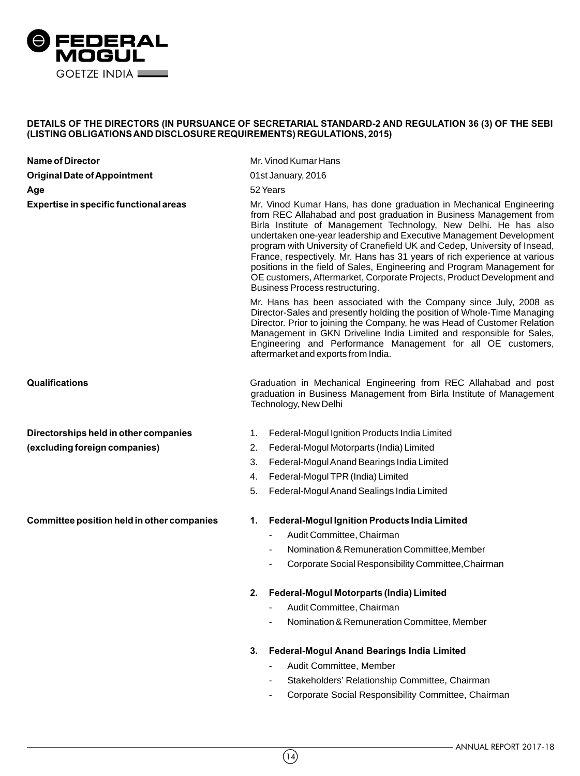

## **DETAILS OF THE DIRECTORS (IN PURSUANCE OF SECRETARIAL STANDARD-2 AND REGULATION 36 (3) OF THE SEBI (LISTING OBLIGATIONS AND DISCLOSURE REQUIREMENTS) REGULATIONS, 2015)**

| <b>Name of Director</b>                    | Mr. Vinod Kumar Hans                                                                                                                                                                                                                                                                                                                                                                                                                                                                                                                                                                                                                   |
|--------------------------------------------|----------------------------------------------------------------------------------------------------------------------------------------------------------------------------------------------------------------------------------------------------------------------------------------------------------------------------------------------------------------------------------------------------------------------------------------------------------------------------------------------------------------------------------------------------------------------------------------------------------------------------------------|
| <b>Original Date of Appointment</b>        | 01st January, 2016                                                                                                                                                                                                                                                                                                                                                                                                                                                                                                                                                                                                                     |
| Age                                        | 52 Years                                                                                                                                                                                                                                                                                                                                                                                                                                                                                                                                                                                                                               |
| Expertise in specific functional areas     | Mr. Vinod Kumar Hans, has done graduation in Mechanical Engineering<br>from REC Allahabad and post graduation in Business Management from<br>Birla Institute of Management Technology, New Delhi. He has also<br>undertaken one-year leadership and Executive Management Development<br>program with University of Cranefield UK and Cedep, University of Insead,<br>France, respectively. Mr. Hans has 31 years of rich experience at various<br>positions in the field of Sales, Engineering and Program Management for<br>OE customers, Aftermarket, Corporate Projects, Product Development and<br>Business Process restructuring. |
|                                            | Mr. Hans has been associated with the Company since July, 2008 as<br>Director-Sales and presently holding the position of Whole-Time Managing<br>Director. Prior to joining the Company, he was Head of Customer Relation<br>Management in GKN Driveline India Limited and responsible for Sales,<br>Engineering and Performance Management for all OE customers,<br>aftermarket and exports from India.                                                                                                                                                                                                                               |
| Qualifications                             | Graduation in Mechanical Engineering from REC Allahabad and post<br>graduation in Business Management from Birla Institute of Management<br>Technology, New Delhi                                                                                                                                                                                                                                                                                                                                                                                                                                                                      |
| Directorships held in other companies      | Federal-Mogul Ignition Products India Limited<br>1.                                                                                                                                                                                                                                                                                                                                                                                                                                                                                                                                                                                    |
| (excluding foreign companies)              | 2.<br>Federal-Mogul Motorparts (India) Limited                                                                                                                                                                                                                                                                                                                                                                                                                                                                                                                                                                                         |
|                                            | 3.<br>Federal-Mogul Anand Bearings India Limited                                                                                                                                                                                                                                                                                                                                                                                                                                                                                                                                                                                       |
|                                            | 4.<br>Federal-Mogul TPR (India) Limited                                                                                                                                                                                                                                                                                                                                                                                                                                                                                                                                                                                                |
|                                            | 5.<br>Federal-Mogul Anand Sealings India Limited                                                                                                                                                                                                                                                                                                                                                                                                                                                                                                                                                                                       |
| Committee position held in other companies | <b>Federal-Mogul Ignition Products India Limited</b><br>1.                                                                                                                                                                                                                                                                                                                                                                                                                                                                                                                                                                             |
|                                            | Audit Committee, Chairman                                                                                                                                                                                                                                                                                                                                                                                                                                                                                                                                                                                                              |
|                                            | Nomination & Remuneration Committee, Member                                                                                                                                                                                                                                                                                                                                                                                                                                                                                                                                                                                            |
|                                            | Corporate Social Responsibility Committee, Chairman                                                                                                                                                                                                                                                                                                                                                                                                                                                                                                                                                                                    |
|                                            | Federal-Mogul Motorparts (India) Limited<br>2.                                                                                                                                                                                                                                                                                                                                                                                                                                                                                                                                                                                         |
|                                            | Audit Committee, Chairman                                                                                                                                                                                                                                                                                                                                                                                                                                                                                                                                                                                                              |
|                                            | Nomination & Remuneration Committee, Member                                                                                                                                                                                                                                                                                                                                                                                                                                                                                                                                                                                            |
|                                            | Federal-Mogul Anand Bearings India Limited<br>3.                                                                                                                                                                                                                                                                                                                                                                                                                                                                                                                                                                                       |
|                                            | Audit Committee, Member                                                                                                                                                                                                                                                                                                                                                                                                                                                                                                                                                                                                                |
|                                            | Stakeholders' Relationship Committee, Chairman                                                                                                                                                                                                                                                                                                                                                                                                                                                                                                                                                                                         |

- Corporate Social Responsibility Committee, Chairman

 $\left(\overline{14}\right)$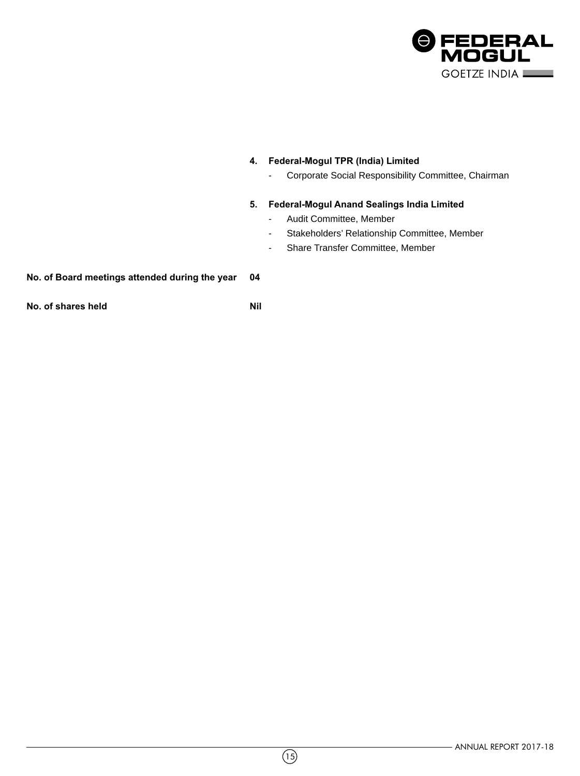

# **4. Federal-Mogul TPR (India) Limited**

- Corporate Social Responsibility Committee, Chairman

# **5. Federal-Mogul Anand Sealings India Limited**

- Audit Committee, Member
- Stakeholders' Relationship Committee, Member
- Share Transfer Committee, Member

# **No. of Board meetings attended during the year 04**

**No. of shares held Nil**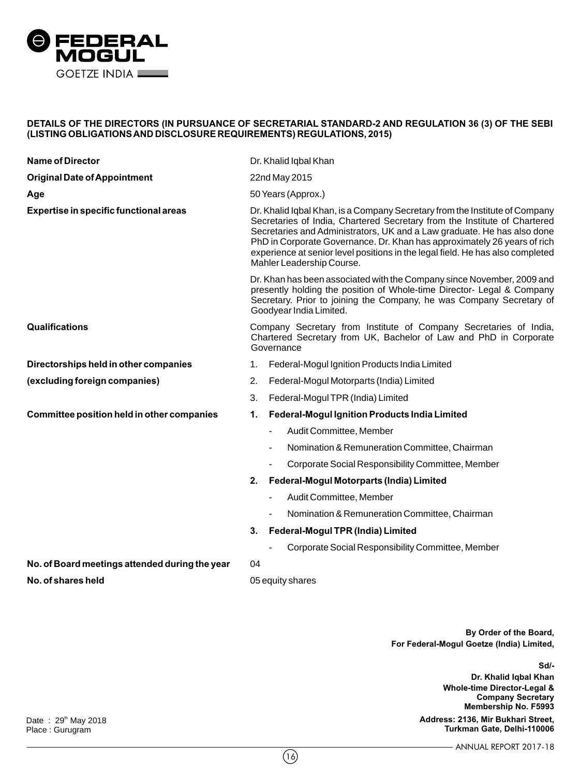

## **DETAILS OF THE DIRECTORS (IN PURSUANCE OF SECRETARIAL STANDARD-2 AND REGULATION 36 (3) OF THE SEBI (LISTING OBLIGATIONS AND DISCLOSURE REQUIREMENTS) REGULATIONS, 2015)**

| <b>Name of Director</b>                        | Dr. Khalid Iqbal Khan                                                                                                                                                                                                                                                                                                                                                                                                          |
|------------------------------------------------|--------------------------------------------------------------------------------------------------------------------------------------------------------------------------------------------------------------------------------------------------------------------------------------------------------------------------------------------------------------------------------------------------------------------------------|
| <b>Original Date of Appointment</b>            | 22nd May 2015                                                                                                                                                                                                                                                                                                                                                                                                                  |
| Age                                            | 50 Years (Approx.)                                                                                                                                                                                                                                                                                                                                                                                                             |
| Expertise in specific functional areas         | Dr. Khalid Iqbal Khan, is a Company Secretary from the Institute of Company<br>Secretaries of India, Chartered Secretary from the Institute of Chartered<br>Secretaries and Administrators, UK and a Law graduate. He has also done<br>PhD in Corporate Governance. Dr. Khan has approximately 26 years of rich<br>experience at senior level positions in the legal field. He has also completed<br>Mahler Leadership Course. |
|                                                | Dr. Khan has been associated with the Company since November, 2009 and<br>presently holding the position of Whole-time Director- Legal & Company<br>Secretary. Prior to joining the Company, he was Company Secretary of<br>Goodyear India Limited.                                                                                                                                                                            |
| Qualifications                                 | Company Secretary from Institute of Company Secretaries of India,<br>Chartered Secretary from UK, Bachelor of Law and PhD in Corporate<br>Governance                                                                                                                                                                                                                                                                           |
| Directorships held in other companies          | Federal-Mogul Ignition Products India Limited<br>1.                                                                                                                                                                                                                                                                                                                                                                            |
| (excluding foreign companies)                  | 2.<br>Federal-Mogul Motorparts (India) Limited                                                                                                                                                                                                                                                                                                                                                                                 |
|                                                | 3.<br>Federal-Mogul TPR (India) Limited                                                                                                                                                                                                                                                                                                                                                                                        |
| Committee position held in other companies     | <b>Federal-Mogul Ignition Products India Limited</b><br>1.                                                                                                                                                                                                                                                                                                                                                                     |
|                                                | Audit Committee, Member                                                                                                                                                                                                                                                                                                                                                                                                        |
|                                                | Nomination & Remuneration Committee, Chairman                                                                                                                                                                                                                                                                                                                                                                                  |
|                                                | Corporate Social Responsibility Committee, Member<br>$\blacksquare$                                                                                                                                                                                                                                                                                                                                                            |
|                                                | Federal-Mogul Motorparts (India) Limited<br>2.                                                                                                                                                                                                                                                                                                                                                                                 |
|                                                | Audit Committee, Member<br>-                                                                                                                                                                                                                                                                                                                                                                                                   |
|                                                | Nomination & Remuneration Committee, Chairman                                                                                                                                                                                                                                                                                                                                                                                  |
|                                                | Federal-Mogul TPR (India) Limited<br>3.                                                                                                                                                                                                                                                                                                                                                                                        |
|                                                | Corporate Social Responsibility Committee, Member                                                                                                                                                                                                                                                                                                                                                                              |
| No. of Board meetings attended during the year | 04                                                                                                                                                                                                                                                                                                                                                                                                                             |
| No. of shares held                             | 05 equity shares                                                                                                                                                                                                                                                                                                                                                                                                               |
|                                                |                                                                                                                                                                                                                                                                                                                                                                                                                                |

**By Order of the Board, For Federal-Mogul Goetze (India) Limited,** 

**Sd/-**

**Dr. Khalid Iqbal Khan Whole-time Director-Legal & Company Secretary Membership No. F5993**

**Address: 2136, Mir Bukhari Street, Turkman Gate, Delhi-110006**